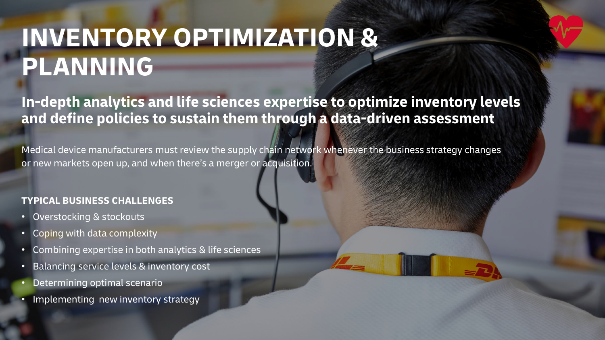# **INVENTORY OPTIMIZATION & PLANNING**

**In-depth analytics and life sciences expertise to optimize inventory levels and define policies to sustain them through a data-driven assessment**

Medical device manufacturers must review the supply chain network whenever the business strategy changes or new markets open up, and when there's a merger or acquisition.

## **TYPICAL BUSINESS CHALLENGES**

- Overstocking & stockouts
- Coping with data complexity
- Combining expertise in both analytics & life sciences
- Balancing service levels & inventory cost
- Determining optimal scenario
- Implementing new inventory strategy